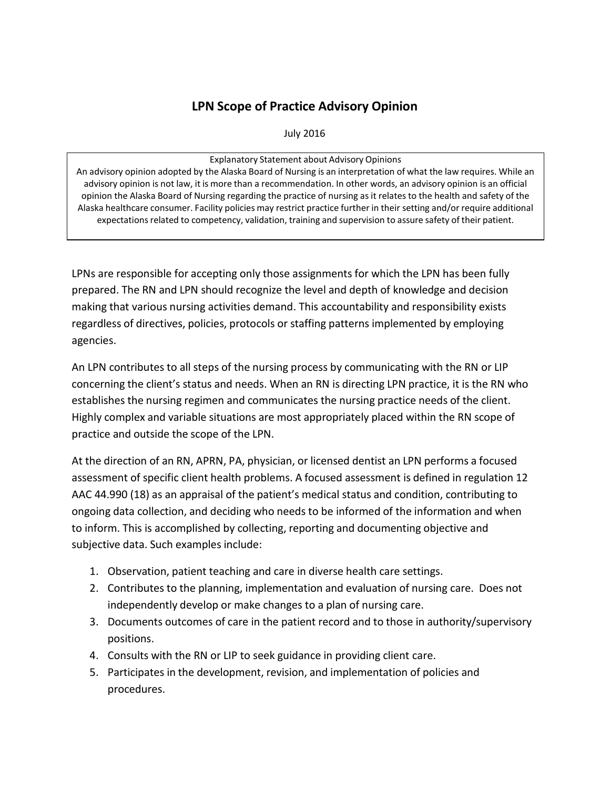## **LPN Scope of Practice Advisory Opinion**

July 2016

Explanatory Statement about Advisory Opinions An advisory opinion adopted by the Alaska Board of Nursing is an interpretation of what the law requires. While an advisory opinion is not law, it is more than a recommendation. In other words, an advisory opinion is an official opinion the Alaska Board of Nursing regarding the practice of nursing as it relates to the health and safety of the Alaska healthcare consumer. Facility policies may restrict practice further in their setting and/or require additional expectations related to competency, validation, training and supervision to assure safety of their patient.

LPNs are responsible for accepting only those assignments for which the LPN has been fully prepared. The RN and LPN should recognize the level and depth of knowledge and decision making that various nursing activities demand. This accountability and responsibility exists regardless of directives, policies, protocols or staffing patterns implemented by employing agencies.

An LPN contributes to all steps of the nursing process by communicating with the RN or LIP concerning the client's status and needs. When an RN is directing LPN practice, it is the RN who establishes the nursing regimen and communicates the nursing practice needs of the client. Highly complex and variable situations are most appropriately placed within the RN scope of practice and outside the scope of the LPN.

At the direction of an RN, APRN, PA, physician, or licensed dentist an LPN performs a focused assessment of specific client health problems. A focused assessment is defined in regulation 12 AAC 44.990 (18) as an appraisal of the patient's medical status and condition, contributing to ongoing data collection, and deciding who needs to be informed of the information and when to inform. This is accomplished by collecting, reporting and documenting objective and subjective data. Such examples include:

- 1. Observation, patient teaching and care in diverse health care settings.
- 2. Contributes to the planning, implementation and evaluation of nursing care. Does not independently develop or make changes to a plan of nursing care.
- 3. Documents outcomes of care in the patient record and to those in authority/supervisory positions.
- 4. Consults with the RN or LIP to seek guidance in providing client care.
- 5. Participates in the development, revision, and implementation of policies and procedures.